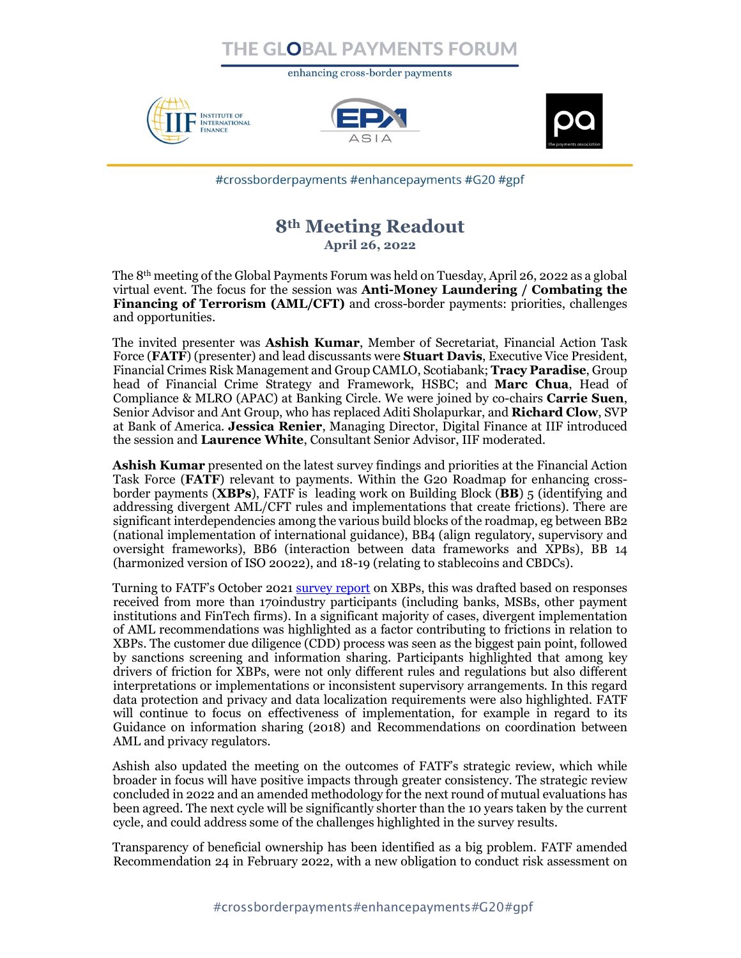## THE GLOBAL PAYMENTS FORU

enhancing cross-border payments







#crossborderpayments #enhancepayments #G20 #gpf

## 8th Meeting Readout April 26, 2022

The 8th meeting of the Global Payments Forum was held on Tuesday, April 26, 2022 as a global virtual event. The focus for the session was Anti-Money Laundering / Combating the Financing of Terrorism (AML/CFT) and cross-border payments: priorities, challenges and opportunities.

The invited presenter was **Ashish Kumar**, Member of Secretariat, Financial Action Task Force (FATF) (presenter) and lead discussants were **Stuart Davis**, Executive Vice President, Financial Crimes Risk Management and Group CAMLO, Scotiabank; Tracy Paradise, Group head of Financial Crime Strategy and Framework, HSBC; and **Marc Chua**, Head of Compliance & MLRO (APAC) at Banking Circle. We were joined by co-chairs **Carrie Suen**, Senior Advisor and Ant Group, who has replaced Aditi Sholapurkar, and Richard Clow, SVP at Bank of America. Jessica Renier, Managing Director, Digital Finance at IIF introduced the session and Laurence White, Consultant Senior Advisor, IIF moderated.

Ashish Kumar presented on the latest survey findings and priorities at the Financial Action Task Force (FATF) relevant to payments. Within the G20 Roadmap for enhancing crossborder payments ( $XBPs$ ), FATF is leading work on Building Block  $(BB)$  5 (identifying and addressing divergent AML/CFT rules and implementations that create frictions). There are significant interdependencies among the various build blocks of the roadmap, eg between BB2 (national implementation of international guidance), BB4 (align regulatory, supervisory and oversight frameworks), BB6 (interaction between data frameworks and XPBs), BB 14 (harmonized version of ISO 20022), and 18-19 (relating to stablecoins and CBDCs).

Turning to FATF's October 2021 survey report on XBPs, this was drafted based on responses received from more than 170industry participants (including banks, MSBs, other payment institutions and FinTech firms). In a significant majority of cases, divergent implementation of AML recommendations was highlighted as a factor contributing to frictions in relation to XBPs. The customer due diligence (CDD) process was seen as the biggest pain point, followed by sanctions screening and information sharing. Participants highlighted that among key drivers of friction for XBPs, were not only different rules and regulations but also different interpretations or implementations or inconsistent supervisory arrangements. In this regard data protection and privacy and data localization requirements were also highlighted. FATF will continue to focus on effectiveness of implementation, for example in regard to its Guidance on information sharing (2018) and Recommendations on coordination between AML and privacy regulators.

Ashish also updated the meeting on the outcomes of FATF's strategic review, which while broader in focus will have positive impacts through greater consistency. The strategic review concluded in 2022 and an amended methodology for the next round of mutual evaluations has been agreed. The next cycle will be significantly shorter than the 10 years taken by the current cycle, and could address some of the challenges highlighted in the survey results.

Transparency of beneficial ownership has been identified as a big problem. FATF amended Recommendation 24 in February 2022, with a new obligation to conduct risk assessment on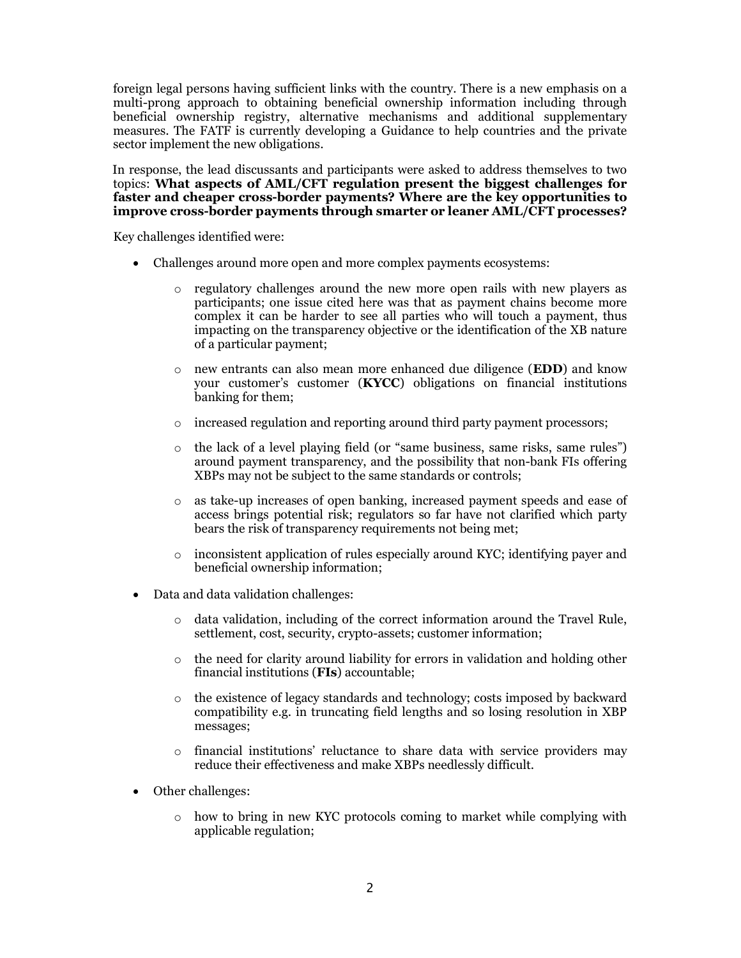foreign legal persons having sufficient links with the country. There is a new emphasis on a multi-prong approach to obtaining beneficial ownership information including through beneficial ownership registry, alternative mechanisms and additional supplementary measures. The FATF is currently developing a Guidance to help countries and the private sector implement the new obligations.

In response, the lead discussants and participants were asked to address themselves to two topics: What aspects of AML/CFT regulation present the biggest challenges for faster and cheaper cross-border payments? Where are the key opportunities to improve cross-border payments through smarter or leaner AML/CFT processes?

Key challenges identified were:

- Challenges around more open and more complex payments ecosystems:
	- o regulatory challenges around the new more open rails with new players as participants; one issue cited here was that as payment chains become more complex it can be harder to see all parties who will touch a payment, thus impacting on the transparency objective or the identification of the XB nature of a particular payment;
	- o new entrants can also mean more enhanced due diligence (EDD) and know your customer's customer (KYCC) obligations on financial institutions banking for them;
	- $\circ$  increased regulation and reporting around third party payment processors;
	- o the lack of a level playing field (or "same business, same risks, same rules") around payment transparency, and the possibility that non-bank FIs offering XBPs may not be subject to the same standards or controls;
	- as take-up increases of open banking, increased payment speeds and ease of access brings potential risk; regulators so far have not clarified which party bears the risk of transparency requirements not being met;
	- o inconsistent application of rules especially around KYC; identifying payer and beneficial ownership information;
- Data and data validation challenges:
	- o data validation, including of the correct information around the Travel Rule, settlement, cost, security, crypto-assets; customer information;
	- $\circ$  the need for clarity around liability for errors in validation and holding other financial institutions (FIs) accountable;
	- o the existence of legacy standards and technology; costs imposed by backward compatibility e.g. in truncating field lengths and so losing resolution in XBP messages;
	- o financial institutions' reluctance to share data with service providers may reduce their effectiveness and make XBPs needlessly difficult.
- Other challenges:
	- $\circ$  how to bring in new KYC protocols coming to market while complying with applicable regulation;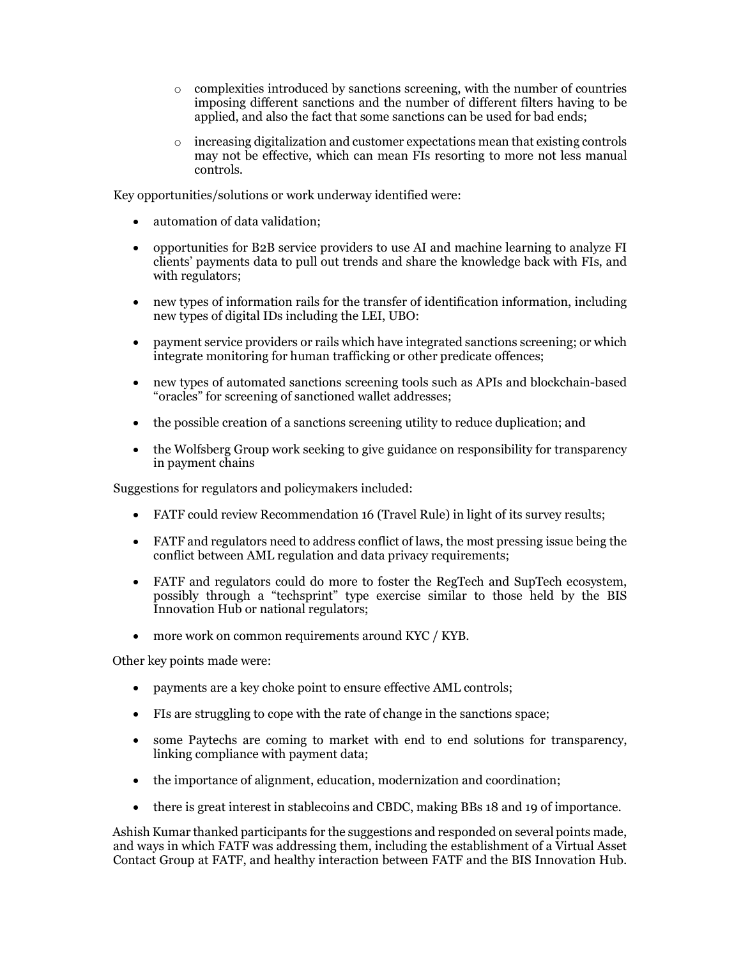- $\circ$  complexities introduced by sanctions screening, with the number of countries imposing different sanctions and the number of different filters having to be applied, and also the fact that some sanctions can be used for bad ends;
- $\circ$  increasing digitalization and customer expectations mean that existing controls may not be effective, which can mean FIs resorting to more not less manual controls.

Key opportunities/solutions or work underway identified were:

- automation of data validation;
- opportunities for B2B service providers to use AI and machine learning to analyze FI clients' payments data to pull out trends and share the knowledge back with FIs, and with regulators;
- new types of information rails for the transfer of identification information, including new types of digital IDs including the LEI, UBO:
- payment service providers or rails which have integrated sanctions screening; or which integrate monitoring for human trafficking or other predicate offences;
- new types of automated sanctions screening tools such as APIs and blockchain-based "oracles" for screening of sanctioned wallet addresses;
- the possible creation of a sanctions screening utility to reduce duplication; and
- the Wolfsberg Group work seeking to give guidance on responsibility for transparency in payment chains

Suggestions for regulators and policymakers included:

- FATF could review Recommendation 16 (Travel Rule) in light of its survey results;
- FATF and regulators need to address conflict of laws, the most pressing issue being the conflict between AML regulation and data privacy requirements;
- FATF and regulators could do more to foster the RegTech and SupTech ecosystem, possibly through a "techsprint" type exercise similar to those held by the BIS Innovation Hub or national regulators;
- more work on common requirements around KYC / KYB.

Other key points made were:

- payments are a key choke point to ensure effective AML controls;
- FIs are struggling to cope with the rate of change in the sanctions space;
- some Paytechs are coming to market with end to end solutions for transparency, linking compliance with payment data;
- the importance of alignment, education, modernization and coordination;
- there is great interest in stablecoins and CBDC, making BBs 18 and 19 of importance.

Ashish Kumar thanked participants for the suggestions and responded on several points made, and ways in which FATF was addressing them, including the establishment of a Virtual Asset Contact Group at FATF, and healthy interaction between FATF and the BIS Innovation Hub.